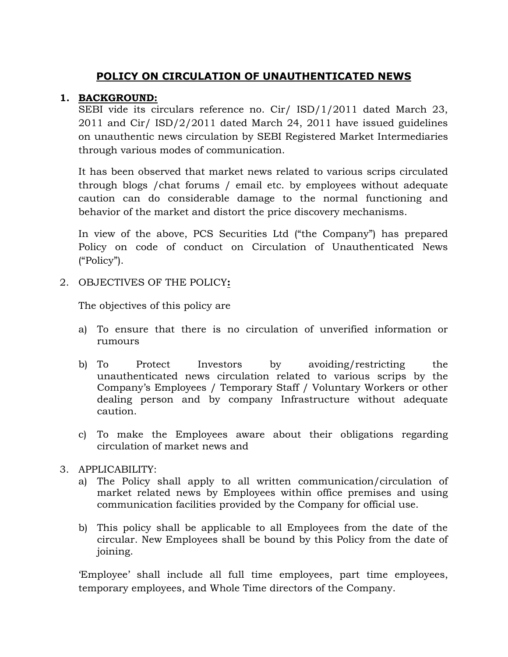# **POLICY ON CIRCULATION OF UNAUTHENTICATED NEWS**

## **1. BACKGROUND:**

SEBI vide its circulars reference no. Cir/ ISD/1/2011 dated March 23, 2011 and Cir/ ISD/2/2011 dated March 24, 2011 have issued guidelines on unauthentic news circulation by SEBI Registered Market Intermediaries through various modes of communication.

It has been observed that market news related to various scrips circulated through blogs /chat forums / email etc. by employees without adequate caution can do considerable damage to the normal functioning and behavior of the market and distort the price discovery mechanisms.

In view of the above, PCS Securities Ltd ("the Company") has prepared Policy on code of conduct on Circulation of Unauthenticated News ("Policy").

## 2. OBJECTIVES OF THE POLICY**:**

The objectives of this policy are

- a) To ensure that there is no circulation of unverified information or rumours
- b) To Protect Investors by avoiding/restricting the unauthenticated news circulation related to various scrips by the Company"s Employees / Temporary Staff / Voluntary Workers or other dealing person and by company Infrastructure without adequate caution.
- c) To make the Employees aware about their obligations regarding circulation of market news and

#### 3. APPLICABILITY:

- a) The Policy shall apply to all written communication/circulation of market related news by Employees within office premises and using communication facilities provided by the Company for official use.
- b) This policy shall be applicable to all Employees from the date of the circular. New Employees shall be bound by this Policy from the date of joining.

"Employee" shall include all full time employees, part time employees, temporary employees, and Whole Time directors of the Company.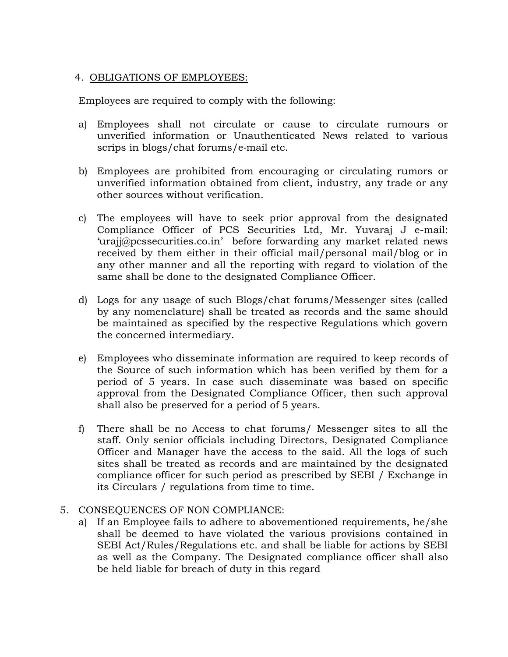#### 4. OBLIGATIONS OF EMPLOYEES:

Employees are required to comply with the following:

- a) Employees shall not circulate or cause to circulate rumours or unverified information or Unauthenticated News related to various scrips in blogs/chat forums/e‐mail etc.
- b) Employees are prohibited from encouraging or circulating rumors or unverified information obtained from client, industry, any trade or any other sources without verification.
- c) The employees will have to seek prior approval from the designated Compliance Officer of PCS Securities Ltd, Mr. Yuvaraj J e-mail: '[urajj@pcssecurities.co.in](mailto:urajj@pcssecurities.co.in)' before forwarding any market related news received by them either in their official mail/personal mail/blog or in any other manner and all the reporting with regard to violation of the same shall be done to the designated Compliance Officer.
- d) Logs for any usage of such Blogs/chat forums/Messenger sites (called by any nomenclature) shall be treated as records and the same should be maintained as specified by the respective Regulations which govern the concerned intermediary.
- e) Employees who disseminate information are required to keep records of the Source of such information which has been verified by them for a period of 5 years. In case such disseminate was based on specific approval from the Designated Compliance Officer, then such approval shall also be preserved for a period of 5 years.
- f) There shall be no Access to chat forums/ Messenger sites to all the staff. Only senior officials including Directors, Designated Compliance Officer and Manager have the access to the said. All the logs of such sites shall be treated as records and are maintained by the designated compliance officer for such period as prescribed by SEBI / Exchange in its Circulars / regulations from time to time.
- 5. CONSEQUENCES OF NON COMPLIANCE:
	- a) If an Employee fails to adhere to abovementioned requirements, he/she shall be deemed to have violated the various provisions contained in SEBI Act/Rules/Regulations etc. and shall be liable for actions by SEBI as well as the Company. The Designated compliance officer shall also be held liable for breach of duty in this regard